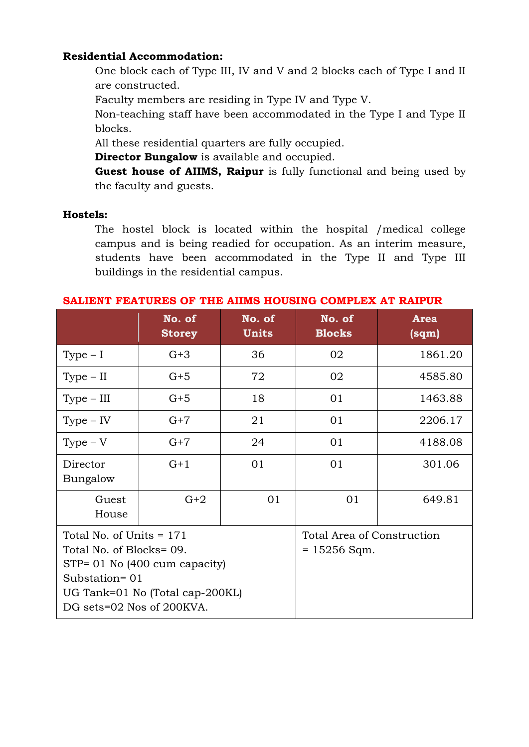### **Residential Accommodation:**

One block each of Type III, IV and V and 2 blocks each of Type I and II are constructed.

Faculty members are residing in Type IV and Type V.

Non-teaching staff have been accommodated in the Type I and Type II blocks.

All these residential quarters are fully occupied.

**Director Bungalow** is available and occupied.

**Guest house of AIIMS, Raipur** is fully functional and being used by the faculty and guests.

#### **Hostels:**

The hostel block is located within the hospital /medical college campus and is being readied for occupation. As an interim measure, students have been accommodated in the Type II and Type III buildings in the residential campus.

|                                                                                                      | No. of<br><b>Storey</b>                                                    | No. of<br><b>Units</b>                       | No. of<br><b>Blocks</b> | <b>Area</b><br>(sqm) |  |
|------------------------------------------------------------------------------------------------------|----------------------------------------------------------------------------|----------------------------------------------|-------------------------|----------------------|--|
| $Type - I$                                                                                           | $G+3$                                                                      | 36                                           | 02                      | 1861.20              |  |
| $Type - II$                                                                                          | $G+5$                                                                      | 72                                           | 02                      | 4585.80              |  |
| $Type - III$                                                                                         | $G+5$                                                                      | 18                                           | 01                      | 1463.88              |  |
| $Type - IV$                                                                                          | $G+7$                                                                      | 21                                           | 01                      | 2206.17              |  |
| $Type - V$                                                                                           | $G+7$                                                                      | 24                                           | 01                      | 4188.08              |  |
| Director<br>Bungalow                                                                                 | $G+1$                                                                      | 01                                           | 01                      | 301.06               |  |
| Guest<br>House                                                                                       | $G+2$                                                                      | 01                                           | 01                      | 649.81               |  |
| Total No. of Units $= 171$<br>Total No. of Blocks= 09.<br>Substation=01<br>DG sets=02 Nos of 200KVA. | STP= 01 No $(400 \text{ cum capacity})$<br>UG Tank=01 No (Total cap-200KL) | Total Area of Construction<br>$= 15256$ Sqm. |                         |                      |  |

| SALIENT FEATURES OF THE AIIMS HOUSING COMPLEX AT RAIPUR |  |  |  |
|---------------------------------------------------------|--|--|--|
|                                                         |  |  |  |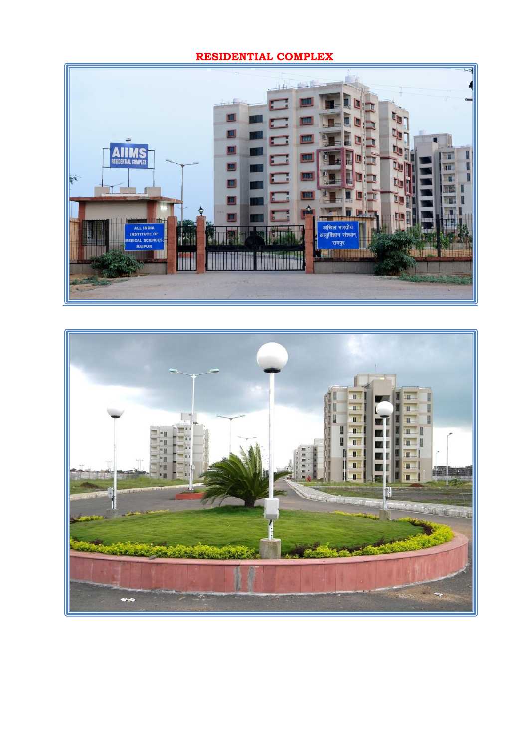### **RESIDENTIAL COMPLEX**